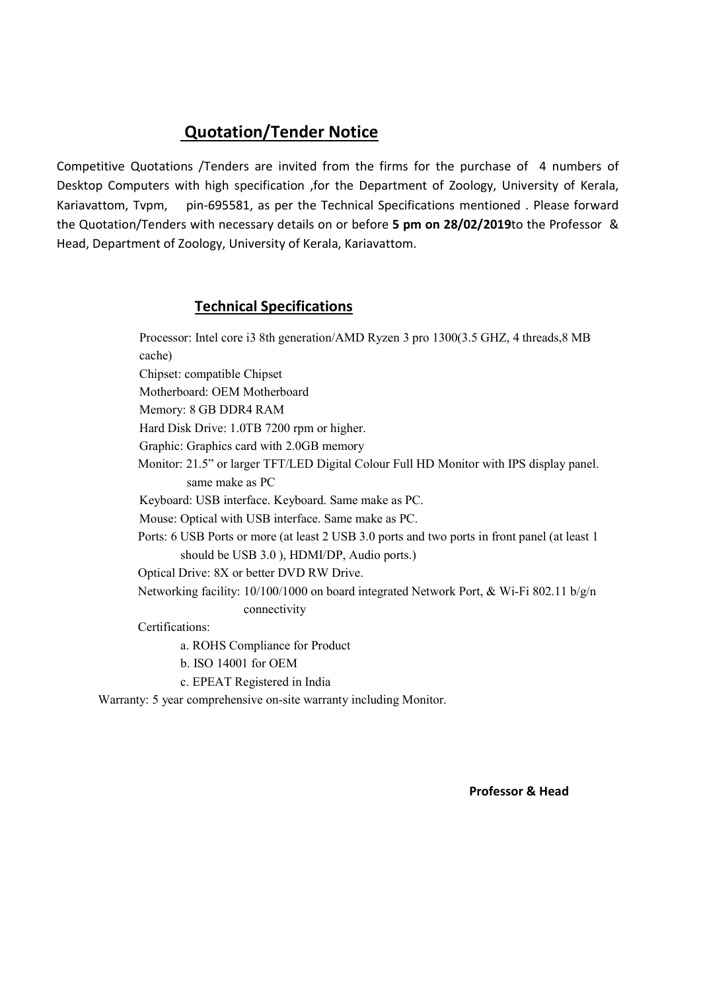Competitive Quotations /Tenders are invited from the firms for the purchase of 4 numbers of Desktop Computers with high specification ,for the Department of Zoology, University of Kerala, Kariavattom, Tvpm, pin-695581, as per the Technical Specifications mentioned . Please forward the Quotation/Tenders with necessary details on or before 5 pm on 28/02/2019to the Professor & Head, Department of Zoology, University of Kerala, Kariavattom.

### Technical Specifications

Processor: Intel core i3 8th generation/AMD Ryzen 3 pro 1300(3.5 GHZ, 4 threads,8 MB cache) Chipset: compatible Chipset Motherboard: OEM Motherboard Memory: 8 GB DDR4 RAM Hard Disk Drive: 1.0TB 7200 rpm or higher. Graphic: Graphics card with 2.0GB memory Monitor: 21.5" or larger TFT/LED Digital Colour Full HD Monitor with IPS display panel. same make as PC Keyboard: USB interface. Keyboard. Same make as PC. Mouse: Optical with USB interface. Same make as PC. Ports: 6 USB Ports or more (at least 2 USB 3.0 ports and two ports in front panel (at least 1 should be USB 3.0 ), HDMI/DP, Audio ports.) Optical Drive: 8X or better DVD RW Drive. Networking facility: 10/100/1000 on board integrated Network Port, & Wi-Fi 802.11 b/g/n connectivity Certifications:

a. ROHS Compliance for Product

- b. ISO 14001 for OEM
- c. EPEAT Registered in India

Warranty: 5 year comprehensive on-site warranty including Monitor.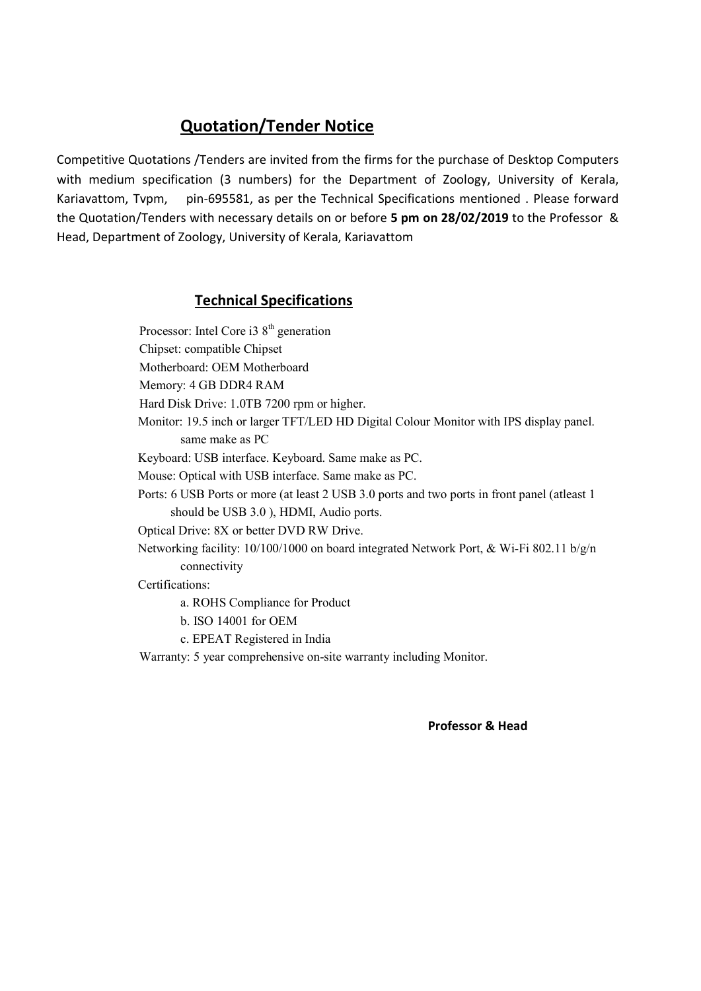Competitive Quotations /Tenders are invited from the firms for the purchase of Desktop Computers with medium specification (3 numbers) for the Department of Zoology, University of Kerala, Kariavattom, Tvpm, pin-695581, as per the Technical Specifications mentioned . Please forward the Quotation/Tenders with necessary details on or before 5 pm on 28/02/2019 to the Professor & Head, Department of Zoology, University of Kerala, Kariavattom

### Technical Specifications

Processor: Intel Core i3  $8<sup>th</sup>$  generation Chipset: compatible Chipset Motherboard: OEM Motherboard Memory: 4 GB DDR4 RAM Hard Disk Drive: 1.0TB 7200 rpm or higher. Monitor: 19.5 inch or larger TFT/LED HD Digital Colour Monitor with IPS display panel. same make as PC Keyboard: USB interface. Keyboard. Same make as PC. Mouse: Optical with USB interface. Same make as PC. Ports: 6 USB Ports or more (at least 2 USB 3.0 ports and two ports in front panel (atleast 1 should be USB 3.0 ), HDMI, Audio ports. Optical Drive: 8X or better DVD RW Drive. Networking facility:  $10/100/1000$  on board integrated Network Port, & Wi-Fi 802.11 b/g/n connectivity Certifications: a. ROHS Compliance for Product

- b. ISO 14001 for OEM
- c. EPEAT Registered in India
- Warranty: 5 year comprehensive on-site warranty including Monitor.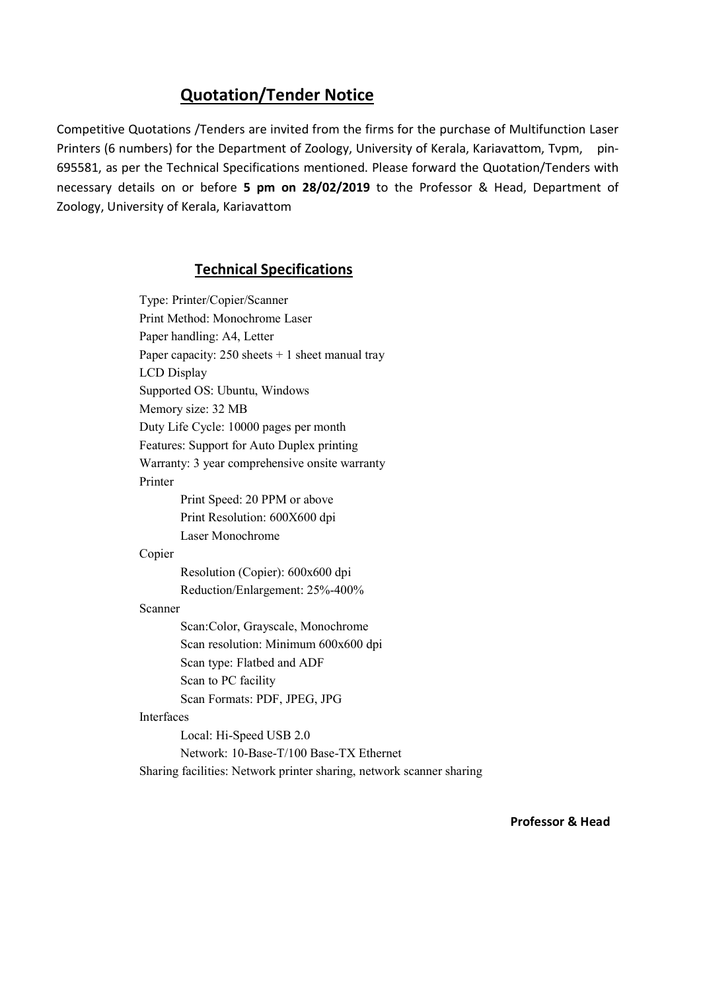Competitive Quotations /Tenders are invited from the firms for the purchase of Multifunction Laser Printers (6 numbers) for the Department of Zoology, University of Kerala, Kariavattom, Tvpm, pin-695581, as per the Technical Specifications mentioned. Please forward the Quotation/Tenders with necessary details on or before 5 pm on 28/02/2019 to the Professor & Head, Department of Zoology, University of Kerala, Kariavattom

### Technical Specifications

Type: Printer/Copier/Scanner Print Method: Monochrome Laser Paper handling: A4, Letter Paper capacity:  $250$  sheets  $+ 1$  sheet manual tray LCD Display Supported OS: Ubuntu, Windows Memory size: 32 MB Duty Life Cycle: 10000 pages per month Features: Support for Auto Duplex printing Warranty: 3 year comprehensive onsite warranty Printer Print Speed: 20 PPM or above Print Resolution: 600X600 dpi Laser Monochrome Copier Resolution (Copier): 600x600 dpi Reduction/Enlargement: 25%-400% Scanner Scan:Color, Grayscale, Monochrome Scan resolution: Minimum 600x600 dpi Scan type: Flatbed and ADF Scan to PC facility Scan Formats: PDF, JPEG, JPG Interfaces Local: Hi-Speed USB 2.0 Network: 10-Base-T/100 Base-TX Ethernet Sharing facilities: Network printer sharing, network scanner sharing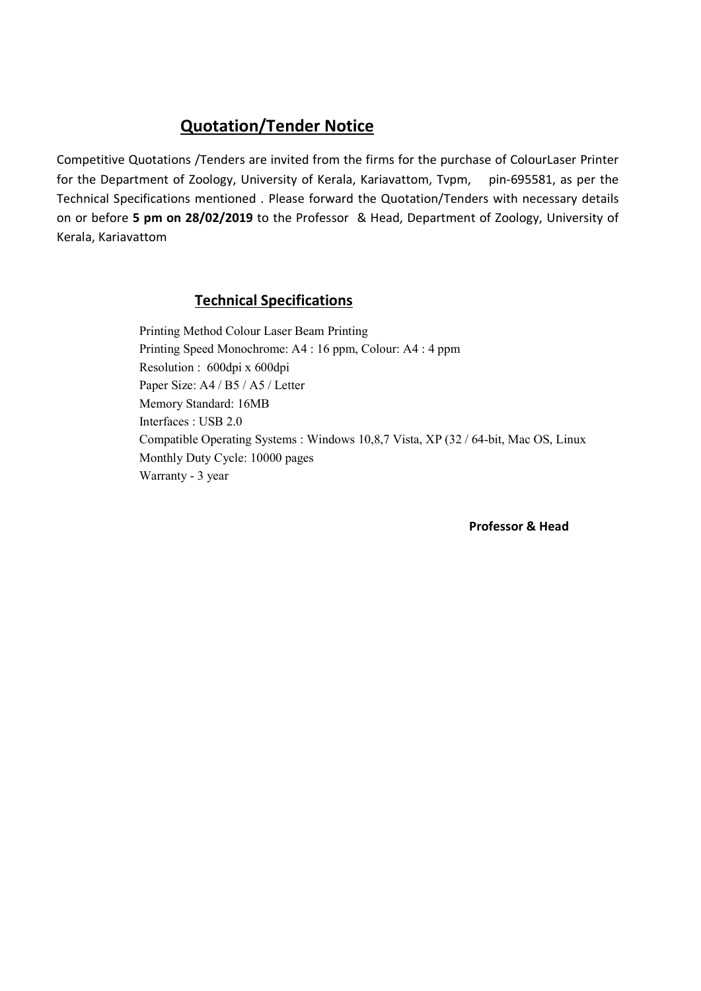Competitive Quotations /Tenders are invited from the firms for the purchase of ColourLaser Printer for the Department of Zoology, University of Kerala, Kariavattom, Tvpm, pin-695581, as per the Technical Specifications mentioned . Please forward the Quotation/Tenders with necessary details on or before 5 pm on 28/02/2019 to the Professor & Head, Department of Zoology, University of Kerala, Kariavattom

#### Technical Specifications

Printing Method Colour Laser Beam Printing Printing Speed Monochrome: A4 : 16 ppm, Colour: A4 : 4 ppm Resolution : 600dpi x 600dpi Paper Size: A4 / B5 / A5 / Letter Memory Standard: 16MB Interfaces : USB 2.0 Compatible Operating Systems : Windows 10,8,7 Vista, XP (32 / 64-bit, Mac OS, Linux Monthly Duty Cycle: 10000 pages Warranty - 3 year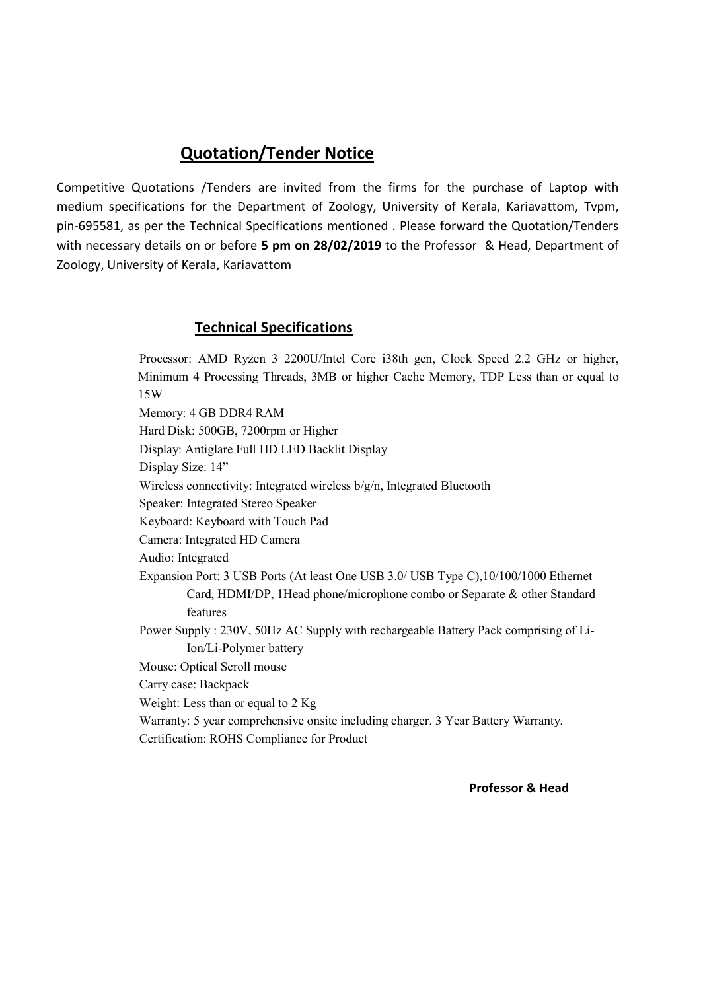Competitive Quotations /Tenders are invited from the firms for the purchase of Laptop with medium specifications for the Department of Zoology, University of Kerala, Kariavattom, Tvpm, pin-695581, as per the Technical Specifications mentioned . Please forward the Quotation/Tenders with necessary details on or before 5 pm on 28/02/2019 to the Professor & Head, Department of Zoology, University of Kerala, Kariavattom

### Technical Specifications

Processor: AMD Ryzen 3 2200U/Intel Core i38th gen, Clock Speed 2.2 GHz or higher, Minimum 4 Processing Threads, 3MB or higher Cache Memory, TDP Less than or equal to 15W Memory: 4 GB DDR4 RAM Hard Disk: 500GB, 7200rpm or Higher Display: Antiglare Full HD LED Backlit Display Display Size: 14" Wireless connectivity: Integrated wireless b/g/n, Integrated Bluetooth Speaker: Integrated Stereo Speaker Keyboard: Keyboard with Touch Pad Camera: Integrated HD Camera Audio: Integrated Expansion Port: 3 USB Ports (At least One USB 3.0/ USB Type C),10/100/1000 Ethernet Card, HDMI/DP, 1Head phone/microphone combo or Separate & other Standard features Power Supply : 230V, 50Hz AC Supply with rechargeable Battery Pack comprising of Li-Ion/Li-Polymer battery Mouse: Optical Scroll mouse Carry case: Backpack Weight: Less than or equal to 2 Kg Warranty: 5 year comprehensive onsite including charger. 3 Year Battery Warranty. Certification: ROHS Compliance for Product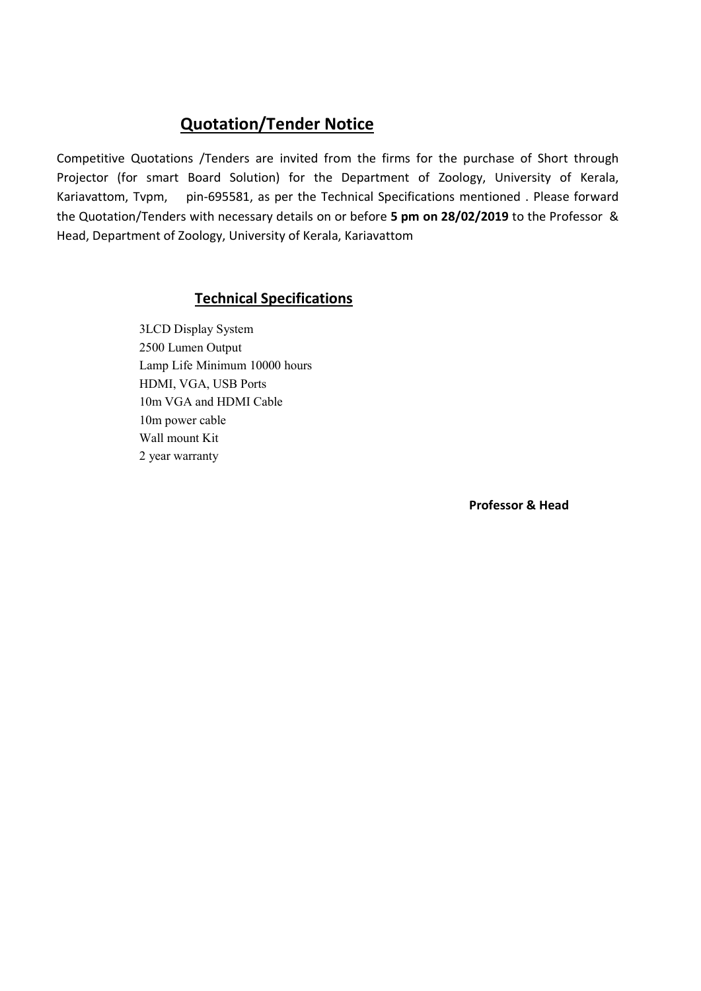Competitive Quotations /Tenders are invited from the firms for the purchase of Short through Projector (for smart Board Solution) for the Department of Zoology, University of Kerala, Kariavattom, Tvpm, pin-695581, as per the Technical Specifications mentioned . Please forward the Quotation/Tenders with necessary details on or before 5 pm on 28/02/2019 to the Professor & Head, Department of Zoology, University of Kerala, Kariavattom

### Technical Specifications

 3LCD Display System 2500 Lumen Output Lamp Life Minimum 10000 hours HDMI, VGA, USB Ports 10m VGA and HDMI Cable 10m power cable Wall mount Kit 2 year warranty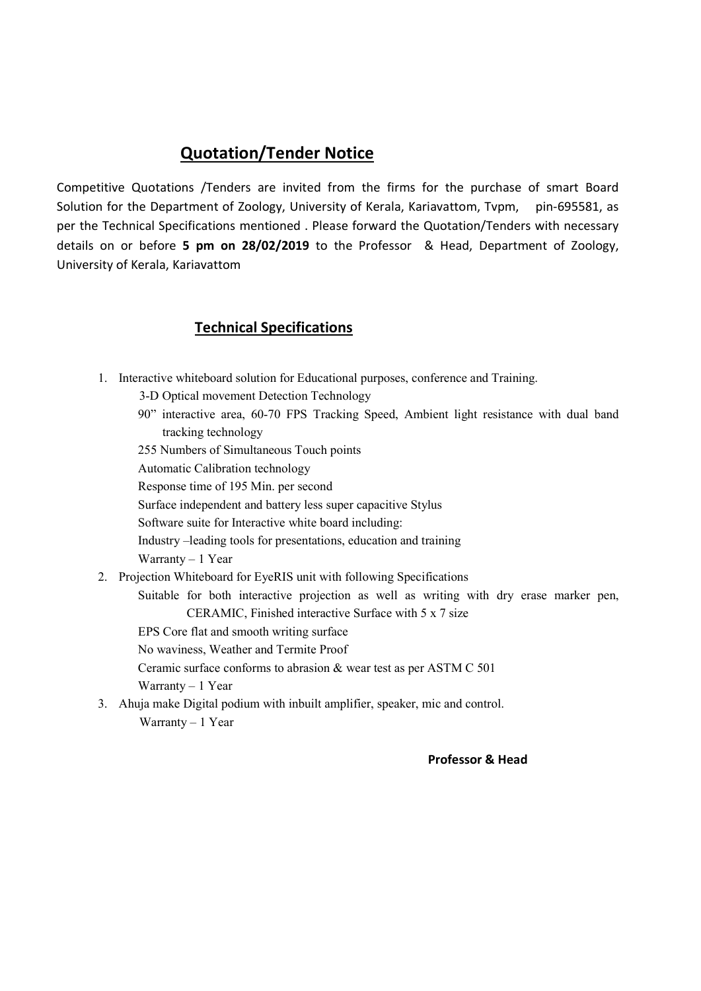Competitive Quotations /Tenders are invited from the firms for the purchase of smart Board Solution for the Department of Zoology, University of Kerala, Kariavattom, Tvpm, pin-695581, as per the Technical Specifications mentioned . Please forward the Quotation/Tenders with necessary details on or before 5 pm on 28/02/2019 to the Professor & Head, Department of Zoology, University of Kerala, Kariavattom

### Technical Specifications

- 1. Interactive whiteboard solution for Educational purposes, conference and Training.
	- 3-D Optical movement Detection Technology
	- 90" interactive area, 60-70 FPS Tracking Speed, Ambient light resistance with dual band tracking technology
	- 255 Numbers of Simultaneous Touch points

Automatic Calibration technology

Response time of 195 Min. per second

Surface independent and battery less super capacitive Stylus

Software suite for Interactive white board including:

Industry –leading tools for presentations, education and training

Warranty  $-1$  Year

2. Projection Whiteboard for EyeRIS unit with following Specifications

 Suitable for both interactive projection as well as writing with dry erase marker pen, CERAMIC, Finished interactive Surface with 5 x 7 size

- EPS Core flat and smooth writing surface
- No waviness, Weather and Termite Proof

Ceramic surface conforms to abrasion & wear test as per ASTM C 501

Warranty – 1 Year

3. Ahuja make Digital podium with inbuilt amplifier, speaker, mic and control. Warranty – 1 Year